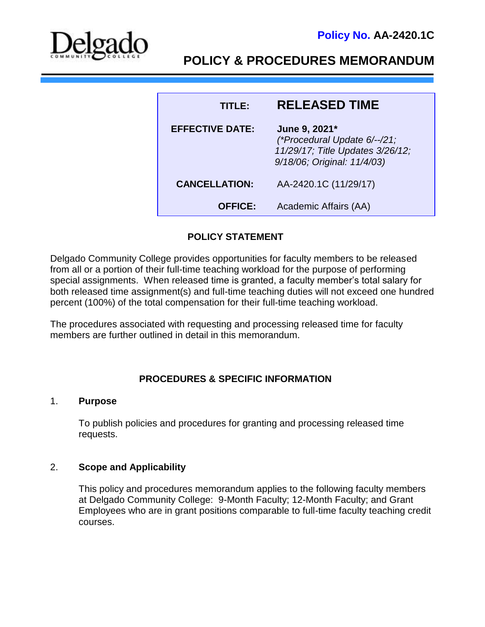

# **POLICY & PROCEDURES MEMORANDUM**

| TITLER                 | <b>RELEASED TIME</b>                                                                                             |
|------------------------|------------------------------------------------------------------------------------------------------------------|
| <b>EFFECTIVE DATE:</b> | June 9, 2021*<br>(*Procedural Update 6/--/21;<br>11/29/17; Title Updates 3/26/12;<br>9/18/06; Original: 11/4/03) |
| <b>CANCELLATION:</b>   | AA-2420.1C (11/29/17)                                                                                            |
| <b>OFFICE:</b>         | Academic Affairs (AA)                                                                                            |

# **POLICY STATEMENT**

Delgado Community College provides opportunities for faculty members to be released from all or a portion of their full-time teaching workload for the purpose of performing special assignments. When released time is granted, a faculty member's total salary for both released time assignment(s) and full-time teaching duties will not exceed one hundred percent (100%) of the total compensation for their full-time teaching workload.

The procedures associated with requesting and processing released time for faculty members are further outlined in detail in this memorandum.

## **PROCEDURES & SPECIFIC INFORMATION**

### 1. **Purpose**

To publish policies and procedures for granting and processing released time requests.

#### 2. **Scope and Applicability**

This policy and procedures memorandum applies to the following faculty members at Delgado Community College: 9-Month Faculty; 12-Month Faculty; and Grant Employees who are in grant positions comparable to full-time faculty teaching credit courses.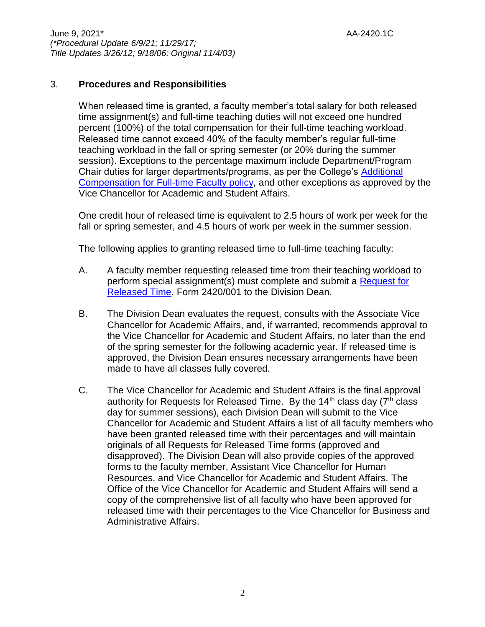# 3. **Procedures and Responsibilities**

When released time is granted, a faculty member's total salary for both released time assignment(s) and full-time teaching duties will not exceed one hundred percent (100%) of the total compensation for their full-time teaching workload. Released time cannot exceed 40% of the faculty member's regular full-time teaching workload in the fall or spring semester (or 20% during the summer session). Exceptions to the percentage maximum include Department/Program Chair duties for larger departments/programs, as per the College's [Additional](http://docushare3.dcc.edu/docushare/dsweb/Get/Document-7064)  [Compensation for Full-time Faculty policy,](http://docushare3.dcc.edu/docushare/dsweb/Get/Document-7064) and other exceptions as approved by the Vice Chancellor for Academic and Student Affairs.

One credit hour of released time is equivalent to 2.5 hours of work per week for the fall or spring semester, and 4.5 hours of work per week in the summer session.

The following applies to granting released time to full-time teaching faculty:

- A. A faculty member requesting released time from their teaching workload to perform special assignment(s) must complete and submit a [Request for](http://docushare3.dcc.edu/docushare/dsweb/Get/Document-556/2420-001.doc)  [Released Time,](http://docushare3.dcc.edu/docushare/dsweb/Get/Document-556/2420-001.doc) Form 2420/001 to the Division Dean.
- B. The Division Dean evaluates the request, consults with the Associate Vice Chancellor for Academic Affairs, and, if warranted, recommends approval to the Vice Chancellor for Academic and Student Affairs, no later than the end of the spring semester for the following academic year. If released time is approved, the Division Dean ensures necessary arrangements have been made to have all classes fully covered.
- C. The Vice Chancellor for Academic and Student Affairs is the final approval authority for Requests for Released Time. By the  $14<sup>th</sup>$  class day ( $7<sup>th</sup>$  class day for summer sessions), each Division Dean will submit to the Vice Chancellor for Academic and Student Affairs a list of all faculty members who have been granted released time with their percentages and will maintain originals of all Requests for Released Time forms (approved and disapproved). The Division Dean will also provide copies of the approved forms to the faculty member, Assistant Vice Chancellor for Human Resources, and Vice Chancellor for Academic and Student Affairs. The Office of the Vice Chancellor for Academic and Student Affairs will send a copy of the comprehensive list of all faculty who have been approved for released time with their percentages to the Vice Chancellor for Business and Administrative Affairs.